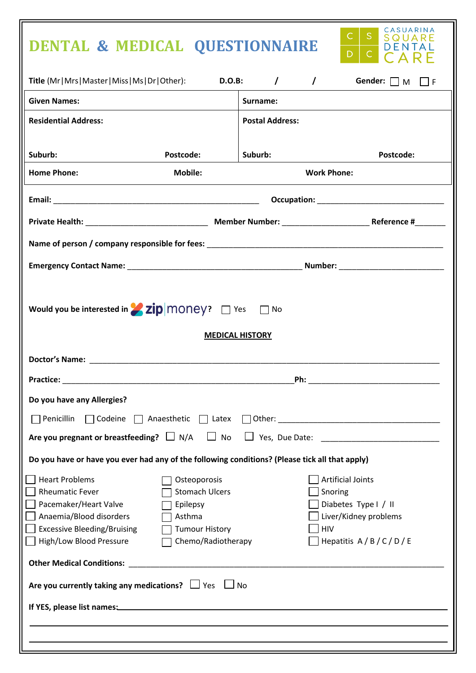## **DENTAL & MEDICAL QUESTIONNAIRE**



| Title (Mr Mrs Master Miss Ms Dr Other):<br><b>D.O.B:</b><br>$\prime$<br>Gender: $\Box$ M $\Box$ F<br>$\prime$                                                        |                                                                                                            |                        |                                            |                                                                        |  |
|----------------------------------------------------------------------------------------------------------------------------------------------------------------------|------------------------------------------------------------------------------------------------------------|------------------------|--------------------------------------------|------------------------------------------------------------------------|--|
| <b>Given Names:</b>                                                                                                                                                  |                                                                                                            | Surname:               |                                            |                                                                        |  |
| <b>Residential Address:</b>                                                                                                                                          |                                                                                                            | <b>Postal Address:</b> |                                            |                                                                        |  |
| Suburb:                                                                                                                                                              | Postcode:                                                                                                  | Suburb:                |                                            | Postcode:                                                              |  |
| <b>Home Phone:</b>                                                                                                                                                   | <b>Mobile:</b>                                                                                             | <b>Work Phone:</b>     |                                            |                                                                        |  |
|                                                                                                                                                                      |                                                                                                            |                        |                                            |                                                                        |  |
|                                                                                                                                                                      |                                                                                                            |                        |                                            |                                                                        |  |
|                                                                                                                                                                      |                                                                                                            |                        |                                            |                                                                        |  |
|                                                                                                                                                                      |                                                                                                            |                        |                                            |                                                                        |  |
| Would you be interested in <b>Zip</b> MONey? $\Box$ Yes $\Box$ No<br><b>MEDICAL HISTORY</b>                                                                          |                                                                                                            |                        |                                            |                                                                        |  |
|                                                                                                                                                                      |                                                                                                            |                        |                                            |                                                                        |  |
|                                                                                                                                                                      |                                                                                                            |                        |                                            |                                                                        |  |
| Do you have any Allergies?                                                                                                                                           |                                                                                                            |                        |                                            |                                                                        |  |
| Penicillin                                                                                                                                                           |                                                                                                            |                        |                                            |                                                                        |  |
| Are you pregnant or breastfeeding? $\Box$ N/A<br>No<br>Yes, Due Date:                                                                                                |                                                                                                            |                        |                                            |                                                                        |  |
| Do you have or have you ever had any of the following conditions? (Please tick all that apply)                                                                       |                                                                                                            |                        |                                            |                                                                        |  |
| <b>Heart Problems</b><br><b>Rheumatic Fever</b><br>Pacemaker/Heart Valve<br>Anaemia/Blood disorders<br><b>Excessive Bleeding/Bruising</b><br>High/Low Blood Pressure | Osteoporosis<br><b>Stomach Ulcers</b><br>Epilepsy<br>Asthma<br><b>Tumour History</b><br>Chemo/Radiotherapy |                        | <b>Artificial Joints</b><br>Snoring<br>HIV | Diabetes Type I / II<br>Liver/Kidney problems<br>Hepatitis $A/B/C/D/E$ |  |
| <b>Other Medical Conditions:</b><br><u> 1989 - Johann Harry Barn, mars ar breist fan de Fryske kommunent fan de Fryske kommunent fan de Fryske kommun</u>            |                                                                                                            |                        |                                            |                                                                        |  |
| Are you currently taking any medications? $\Box$ Yes<br>No                                                                                                           |                                                                                                            |                        |                                            |                                                                        |  |
|                                                                                                                                                                      |                                                                                                            |                        |                                            |                                                                        |  |
|                                                                                                                                                                      |                                                                                                            |                        |                                            |                                                                        |  |